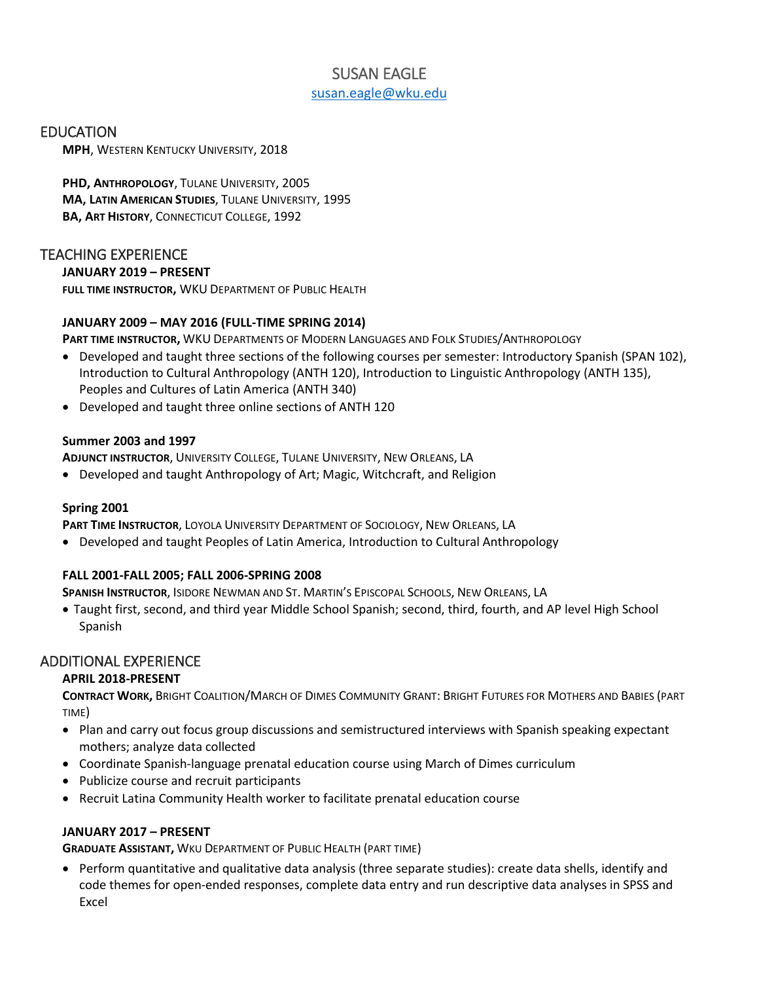# SUSAN EAGLE [susan.eagle@wku.edu](mailto:susan.eagle@wku.edu)

### EDUCATION

**MPH**, WESTERN KENTUCKY UNIVERSITY, 2018

**PHD, ANTHROPOLOGY**, TULANE UNIVERSITY, 2005 **MA, LATIN AMERICAN STUDIES**, TULANE UNIVERSITY, 1995 **BA, ART HISTORY**, CONNECTICUT COLLEGE, 1992

### TEACHING EXPERIENCE

### **JANUARY 2019 – PRESENT**

**FULL TIME INSTRUCTOR,** WKU DEPARTMENT OF PUBLIC HEALTH

### **JANUARY 2009 – MAY 2016 (FULL-TIME SPRING 2014)**

**PART TIME INSTRUCTOR,** WKU DEPARTMENTS OF MODERN LANGUAGES AND FOLK STUDIES/ANTHROPOLOGY

- Developed and taught three sections of the following courses per semester: Introductory Spanish (SPAN 102), Introduction to Cultural Anthropology (ANTH 120), Introduction to Linguistic Anthropology (ANTH 135), Peoples and Cultures of Latin America (ANTH 340)
- Developed and taught three online sections of ANTH 120

### **Summer 2003 and 1997**

**ADJUNCT INSTRUCTOR**, UNIVERSITY COLLEGE, TULANE UNIVERSITY, NEW ORLEANS, LA

• Developed and taught Anthropology of Art; Magic, Witchcraft, and Religion

### **Spring 2001**

**PART TIME INSTRUCTOR**, LOYOLA UNIVERSITY DEPARTMENT OF SOCIOLOGY, NEW ORLEANS, LA

• Developed and taught Peoples of Latin America, Introduction to Cultural Anthropology

### **FALL 2001-FALL 2005; FALL 2006-SPRING 2008**

**SPANISH INSTRUCTOR**, ISIDORE NEWMAN AND ST. MARTIN'S EPISCOPAL SCHOOLS, NEW ORLEANS, LA

• Taught first, second, and third year Middle School Spanish; second, third, fourth, and AP level High School Spanish

## ADDITIONAL EXPERIENCE

### **APRIL 2018-PRESENT**

**CONTRACT WORK,** BRIGHT COALITION/MARCH OF DIMES COMMUNITY GRANT: BRIGHT FUTURES FOR MOTHERS AND BABIES (PART TIME)

- Plan and carry out focus group discussions and semistructured interviews with Spanish speaking expectant mothers; analyze data collected
- Coordinate Spanish-language prenatal education course using March of Dimes curriculum
- Publicize course and recruit participants
- Recruit Latina Community Health worker to facilitate prenatal education course

### **JANUARY 2017 – PRESENT**

**GRADUATE ASSISTANT,** WKU DEPARTMENT OF PUBLIC HEALTH (PART TIME)

• Perform quantitative and qualitative data analysis (three separate studies): create data shells, identify and code themes for open-ended responses, complete data entry and run descriptive data analyses in SPSS and Excel